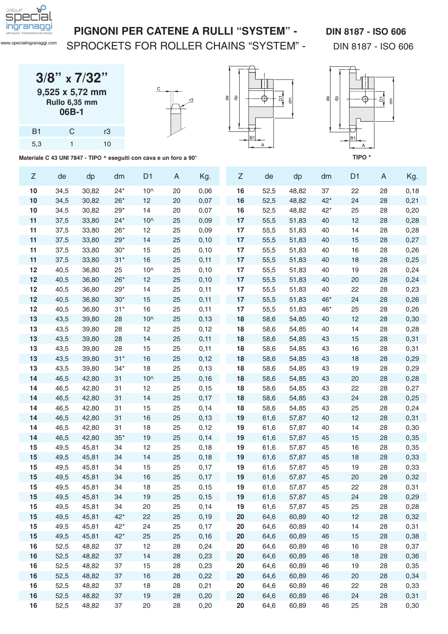

[www.specialingranaggi.com](https://www.specialingranaggi.com)

### SPROCKETS FOR ROLLER CHAINS "SYSTEM" - DIN 8187 - ISO 606

|                | $3/8$ " x $7/32$ "                                              |  |
|----------------|-----------------------------------------------------------------|--|
|                | $9,525 \times 5,72 \text{ mm}$<br><b>Rullo 6,35 mm</b><br>06B-1 |  |
| B <sub>1</sub> |                                                                 |  |

5,3 1 10







Materiale C 43 UNI 7847 - TIPO ^ eseguiti con cava e un foro a 90° **TIPO \*** TIPO \*

| Ζ  | de   | dp    | dm    | D <sub>1</sub> | A  | Kg.   | Z      | de   | dp    | dm    | D <sub>1</sub> | A  | Kg.   |
|----|------|-------|-------|----------------|----|-------|--------|------|-------|-------|----------------|----|-------|
| 10 | 34,5 | 30,82 | $24*$ | $10^$          | 20 | 0,06  | 16     | 52,5 | 48,82 | 37    | 22             | 28 | 0, 18 |
| 10 | 34,5 | 30,82 | $26*$ | 12             | 20 | 0,07  | 16     | 52,5 | 48,82 | $42*$ | 24             | 28 | 0,21  |
| 10 | 34,5 | 30,82 | $29*$ | 14             | 20 | 0,07  | 16     | 52,5 | 48,82 | $42*$ | 25             | 28 | 0,20  |
| 11 | 37,5 | 33,80 | $24*$ | $10^$          | 25 | 0,09  | 17     | 55,5 | 51,83 | 40    | 12             | 28 | 0,28  |
| 11 | 37,5 | 33,80 | $26*$ | 12             | 25 | 0,09  | 17     | 55,5 | 51,83 | 40    | 14             | 28 | 0,28  |
| 11 | 37,5 | 33,80 | $29*$ | 14             | 25 | 0,10  | 17     | 55,5 | 51,83 | 40    | 15             | 28 | 0,27  |
| 11 | 37,5 | 33,80 | $30*$ | 15             | 25 | 0,10  | 17     | 55,5 | 51,83 | 40    | 16             | 28 | 0,26  |
| 11 | 37,5 | 33,80 | $31*$ | 16             | 25 | 0,11  | 17     | 55,5 | 51,83 | 40    | 18             | 28 | 0,25  |
| 12 | 40,5 | 36,80 | 25    | $10^$          | 25 | 0,10  | 17     | 55,5 | 51,83 | 40    | 19             | 28 | 0,24  |
| 12 | 40,5 | 36,80 | $26*$ | 12             | 25 | 0,10  | 17     | 55,5 | 51,83 | 40    | 20             | 28 | 0,24  |
| 12 | 40,5 | 36,80 | $29*$ | 14             | 25 | 0,11  | 17     | 55,5 | 51,83 | 40    | 22             | 28 | 0,23  |
| 12 | 40,5 | 36,80 | $30*$ | 15             | 25 | 0,11  | 17     | 55,5 | 51,83 | $46*$ | 24             | 28 | 0,26  |
| 12 | 40,5 | 36,80 | $31*$ | 16             | 25 | 0,11  | 17     | 55,5 | 51,83 | 46*   | 25             | 28 | 0,26  |
| 13 | 43,5 | 39,80 | 28    | $10^$          | 25 | 0, 13 | 18     | 58,6 | 54,85 | 40    | 12             | 28 | 0,30  |
| 13 | 43,5 | 39,80 | 28    | 12             | 25 | 0,12  | 18     | 58,6 | 54,85 | 40    | 14             | 28 | 0,28  |
| 13 | 43,5 | 39,80 | 28    | 14             | 25 | 0,11  | 18     | 58,6 | 54,85 | 43    | 15             | 28 | 0,31  |
| 13 | 43,5 | 39,80 | 28    | 15             | 25 | 0,11  | 18     | 58,6 | 54,85 | 43    | 16             | 28 | 0,31  |
| 13 | 43,5 | 39,80 | $31*$ | 16             | 25 | 0,12  | 18     | 58,6 | 54,85 | 43    | 18             | 28 | 0,29  |
| 13 | 43,5 | 39,80 | $34*$ | 18             | 25 | 0, 13 | 18     | 58,6 | 54,85 | 43    | 19             | 28 | 0,29  |
| 14 | 46,5 | 42,80 | 31    | $10^$          | 25 | 0,16  | 18     | 58,6 | 54,85 | 43    | 20             | 28 | 0,28  |
| 14 | 46,5 | 42,80 | 31    | 12             | 25 | 0,15  | 18     | 58,6 | 54,85 | 43    | 22             | 28 | 0,27  |
| 14 | 46,5 | 42,80 | 31    | 14             | 25 | 0,17  | 18     | 58,6 | 54,85 | 43    | 24             | 28 | 0,25  |
| 14 | 46,5 | 42,80 | 31    | 15             | 25 | 0,14  | 18     | 58,6 | 54,85 | 43    | 25             | 28 | 0,24  |
| 14 | 46,5 | 42,80 | 31    | 16             | 25 | 0, 13 | 19     | 61,6 | 57,87 | 40    | 12             | 28 | 0,31  |
| 14 | 46,5 | 42,80 | 31    | 18             | 25 | 0,12  | 19     | 61,6 | 57,87 | 40    | 14             | 28 | 0,30  |
| 14 | 46,5 | 42,80 | $35*$ | 19             | 25 | 0,14  | 19     | 61,6 | 57,87 | 45    | 15             | 28 | 0,35  |
| 15 | 49,5 | 45,81 | 34    | 12             | 25 | 0,18  | 19     | 61,6 | 57,87 | 45    | 16             | 28 | 0,35  |
| 15 | 49,5 | 45,81 | 34    | 14             | 25 | 0,18  | 19     | 61,6 | 57,87 | 45    | 18             | 28 | 0,33  |
| 15 | 49,5 | 45,81 | 34    | 15             | 25 | 0,17  | 19     | 61,6 | 57,87 | 45    | 19             | 28 | 0,33  |
| 15 | 49,5 | 45,81 | 34    | 16             | 25 | 0,17  | 19     | 61,6 | 57,87 | 45    | 20             | 28 | 0,32  |
| 15 | 49,5 | 45,81 | 34    | 18             | 25 | 0,15  | 19     | 61,6 | 57,87 | 45    | 22             | 28 | 0,31  |
| 15 | 49,5 | 45,81 | 34    | 19             | 25 | 0,15  | 19     | 61,6 | 57,87 | 45    | 24             | 28 | 0,29  |
| 15 | 49,5 | 45,81 | 34    | 20             | 25 | 0,14  | 19     | 61,6 | 57,87 | 45    | 25             | 28 | 0,28  |
| 15 | 49,5 | 45,81 | $42*$ | 22             | 25 | 0, 19 | 20     | 64,6 | 60,89 | 40    | 12             | 28 | 0,32  |
| 15 | 49,5 | 45,81 | $42*$ | 24             | 25 | 0,17  | 20     | 64,6 | 60,89 | 40    | 14             | 28 | 0,31  |
| 15 | 49,5 | 45,81 | $42*$ | 25             | 25 | 0,16  | 20     | 64,6 | 60,89 | 46    | 15             | 28 | 0,38  |
| 16 | 52,5 | 48,82 | 37    | 12             | 28 | 0,24  | 20     | 64,6 | 60,89 | 46    | 16             | 28 | 0,37  |
| 16 | 52,5 | 48,82 | 37    | 14             | 28 | 0,23  | 20     | 64,6 | 60,89 | 46    | 18             | 28 | 0,36  |
| 16 | 52,5 | 48,82 | 37    | 15             | 28 | 0,23  | 20     | 64,6 | 60,89 | 46    | 19             | 28 | 0,35  |
| 16 | 52,5 | 48,82 | 37    | 16             | 28 | 0,22  | $20\,$ | 64,6 | 60,89 | 46    | $20\,$         | 28 | 0,34  |
| 16 | 52,5 | 48,82 | 37    | 18             | 28 | 0,21  | 20     | 64,6 | 60,89 | 46    | 22             | 28 | 0,33  |
| 16 | 52,5 | 48,82 | 37    | 19             | 28 | 0,20  | 20     | 64,6 | 60,89 | 46    | 24             | 28 | 0,31  |
| 16 | 52,5 | 48,82 | 37    | 20             | 28 | 0,20  | 20     | 64,6 | 60,89 | 46    | 25             | 28 | 0,30  |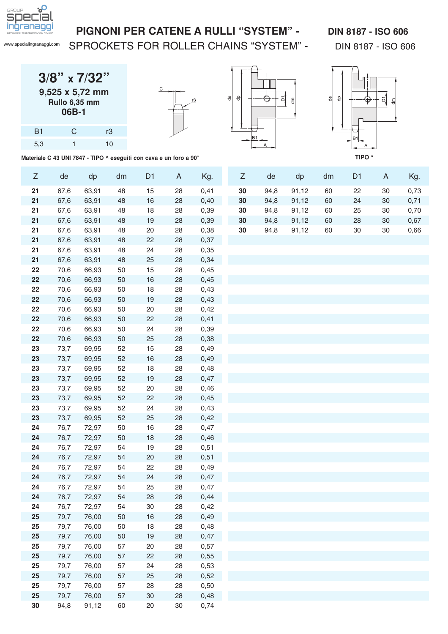

[www.specialingranaggi.com](https://www.specialingranaggi.com)

## SPROCKETS FOR ROLLER CHAINS "SYSTEM" - DIN 8187 - ISO 606

| $3/8$ " x $7/32$ " |
|--------------------|
| 9,525 x 5,72 mm    |
| Rullo 6,35 mm      |
| 06B-1              |
|                    |

B1 C r3 5,3 1 10







**Materiale C 43 UNI 7847 - TIPO ^ eseguiti con cava e un foro a 90°**

| Z  | de   | dp    | dm | D <sub>1</sub> | A      | Kg.  | Z  | de   | dp    | dm | D <sub>1</sub> | A      | Kg.  |
|----|------|-------|----|----------------|--------|------|----|------|-------|----|----------------|--------|------|
| 21 | 67,6 | 63,91 | 48 | 15             | 28     | 0,41 | 30 | 94,8 | 91,12 | 60 | 22             | 30     | 0,73 |
| 21 | 67,6 | 63,91 | 48 | 16             | 28     | 0,40 | 30 | 94,8 | 91,12 | 60 | 24             | 30     | 0,71 |
| 21 | 67,6 | 63,91 | 48 | 18             | 28     | 0,39 | 30 | 94,8 | 91,12 | 60 | 25             | 30     | 0,70 |
| 21 | 67,6 | 63,91 | 48 | 19             | 28     | 0,39 | 30 | 94,8 | 91,12 | 60 | 28             | 30     | 0,67 |
| 21 | 67,6 | 63,91 | 48 | 20             | 28     | 0,38 | 30 | 94,8 | 91,12 | 60 | $30\,$         | $30\,$ | 0,66 |
| 21 | 67,6 | 63,91 | 48 | 22             | 28     | 0,37 |    |      |       |    |                |        |      |
| 21 | 67,6 | 63,91 | 48 | 24             | 28     | 0,35 |    |      |       |    |                |        |      |
| 21 | 67,6 | 63,91 | 48 | 25             | 28     | 0,34 |    |      |       |    |                |        |      |
| 22 | 70,6 | 66,93 | 50 | 15             | 28     | 0,45 |    |      |       |    |                |        |      |
| 22 | 70,6 | 66,93 | 50 | 16             | 28     | 0,45 |    |      |       |    |                |        |      |
| 22 | 70,6 | 66,93 | 50 | 18             | 28     | 0,43 |    |      |       |    |                |        |      |
| 22 | 70,6 | 66,93 | 50 | 19             | 28     | 0,43 |    |      |       |    |                |        |      |
| 22 | 70,6 | 66,93 | 50 | 20             | 28     | 0,42 |    |      |       |    |                |        |      |
| 22 | 70,6 | 66,93 | 50 | 22             | 28     | 0,41 |    |      |       |    |                |        |      |
| 22 | 70,6 | 66,93 | 50 | 24             | 28     | 0,39 |    |      |       |    |                |        |      |
| 22 | 70,6 | 66,93 | 50 | 25             | 28     | 0,38 |    |      |       |    |                |        |      |
| 23 | 73,7 | 69,95 | 52 | 15             | 28     | 0,49 |    |      |       |    |                |        |      |
| 23 | 73,7 | 69,95 | 52 | 16             | 28     | 0,49 |    |      |       |    |                |        |      |
| 23 | 73,7 | 69,95 | 52 | 18             | 28     | 0,48 |    |      |       |    |                |        |      |
| 23 | 73,7 | 69,95 | 52 | 19             | 28     | 0,47 |    |      |       |    |                |        |      |
| 23 | 73,7 | 69,95 | 52 | 20             | 28     | 0,46 |    |      |       |    |                |        |      |
| 23 | 73,7 | 69,95 | 52 | 22             | 28     | 0,45 |    |      |       |    |                |        |      |
| 23 | 73,7 | 69,95 | 52 | 24             | 28     | 0,43 |    |      |       |    |                |        |      |
| 23 | 73,7 | 69,95 | 52 | 25             | 28     | 0,42 |    |      |       |    |                |        |      |
| 24 | 76,7 | 72,97 | 50 | 16             | 28     | 0,47 |    |      |       |    |                |        |      |
| 24 | 76,7 | 72,97 | 50 | 18             | 28     | 0,46 |    |      |       |    |                |        |      |
| 24 | 76,7 | 72,97 | 54 | 19             | 28     | 0,51 |    |      |       |    |                |        |      |
| 24 | 76,7 | 72,97 | 54 | 20             | 28     | 0,51 |    |      |       |    |                |        |      |
| 24 | 76,7 | 72,97 | 54 | 22             | 28     | 0,49 |    |      |       |    |                |        |      |
| 24 | 76,7 | 72,97 | 54 | 24             | 28     | 0,47 |    |      |       |    |                |        |      |
| 24 | 76,7 | 72,97 | 54 | 25             | 28     | 0,47 |    |      |       |    |                |        |      |
| 24 | 76,7 | 72,97 | 54 | 28             | 28     | 0,44 |    |      |       |    |                |        |      |
| 24 | 76,7 | 72,97 | 54 | 30             | 28     | 0,42 |    |      |       |    |                |        |      |
| 25 | 79,7 | 76,00 | 50 | 16             | 28     | 0,49 |    |      |       |    |                |        |      |
| 25 | 79,7 | 76,00 | 50 | 18             | 28     | 0,48 |    |      |       |    |                |        |      |
| 25 | 79,7 | 76,00 | 50 | 19             | 28     | 0,47 |    |      |       |    |                |        |      |
| 25 | 79,7 | 76,00 | 57 | 20             | 28     | 0,57 |    |      |       |    |                |        |      |
| 25 | 79,7 | 76,00 | 57 | 22             | 28     | 0,55 |    |      |       |    |                |        |      |
| 25 | 79,7 | 76,00 | 57 | 24             | 28     | 0,53 |    |      |       |    |                |        |      |
| 25 | 79,7 | 76,00 | 57 | 25             | 28     | 0,52 |    |      |       |    |                |        |      |
| 25 | 79,7 | 76,00 | 57 | 28             | 28     | 0,50 |    |      |       |    |                |        |      |
| 25 | 79,7 | 76,00 | 57 | 30             | 28     | 0,48 |    |      |       |    |                |        |      |
| 30 | 94,8 | 91,12 | 60 | 20             | $30\,$ | 0,74 |    |      |       |    |                |        |      |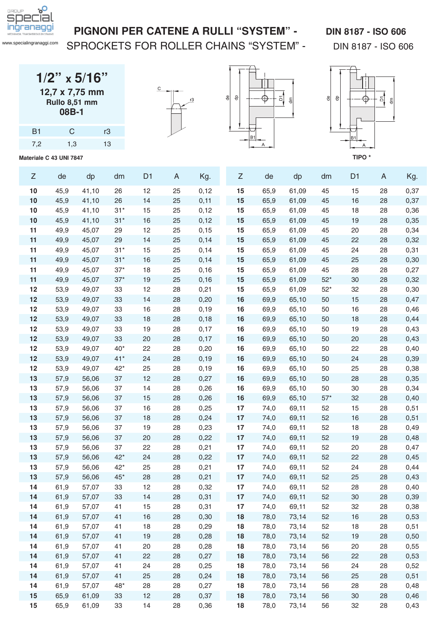

### PIGNONI PER CATENE A RULLI "SYSTEM" - DIN 8187 - ISO 606

SPROCKETS FOR ROLLER CHAINS "SYSTEM" - DIN 8187 - ISO 606

| $1/2$ " x 5/16" |  |  |  |  |  |  |  |  |  |
|-----------------|--|--|--|--|--|--|--|--|--|
| 12,7 x 7,75 mm  |  |  |  |  |  |  |  |  |  |
| Rullo 8,51 mm   |  |  |  |  |  |  |  |  |  |
| 08B-1           |  |  |  |  |  |  |  |  |  |

| B1  | $\mathcal{C}$ | rЗ |
|-----|---------------|----|
| 7,2 | 1,3           | 13 |

**Materiale C 43 UNI 7847**





읭



| Ζ        | de           | dp             | dm       | D <sub>1</sub> | A        | Kg.          | Ζ        | de           | dp             | dm       | D <sub>1</sub> | A        | Kg.          |
|----------|--------------|----------------|----------|----------------|----------|--------------|----------|--------------|----------------|----------|----------------|----------|--------------|
| 10       | 45,9         | 41,10          | 26       | 12             | 25       | 0,12         | 15       | 65,9         | 61,09          | 45       | 15             | 28       | 0,37         |
| 10       | 45,9         | 41,10          | 26       | 14             | 25       | 0,11         | 15       | 65,9         | 61,09          | 45       | 16             | 28       | 0,37         |
| 10       | 45,9         | 41,10          | $31*$    | 15             | 25       | 0,12         | 15       | 65,9         | 61,09          | 45       | 18             | 28       | 0,36         |
| 10       | 45,9         | 41,10          | $31*$    | 16             | 25       | 0,12         | 15       | 65,9         | 61,09          | 45       | 19             | 28       | 0,35         |
| 11       | 49,9         | 45,07          | 29       | 12             | 25       | 0,15         | 15       | 65,9         | 61,09          | 45       | 20             | 28       | 0,34         |
| 11       | 49,9         | 45,07          | 29       | 14             | 25       | 0,14         | 15       | 65,9         | 61,09          | 45       | 22             | 28       | 0,32         |
| 11       | 49,9         | 45,07          | $31*$    | 15             | 25       | 0,14         | 15       | 65,9         | 61,09          | 45       | 24             | 28       | 0,31         |
| 11       | 49,9         | 45,07          | $31*$    | 16             | 25       | 0,14         | 15       | 65,9         | 61,09          | 45       | 25             | 28       | 0,30         |
| 11       | 49,9         | 45,07          | $37*$    | 18             | 25       | 0,16         | 15       | 65,9         | 61,09          | 45       | 28             | 28       | 0,27         |
| 11       | 49,9         | 45,07          | $37*$    | 19             | 25       | 0,16         | 15       | 65,9         | 61,09          | $52*$    | 30             | 28       | 0,32         |
| 12       | 53,9         | 49,07          | 33       | 12             | 28       | 0,21         | 15       | 65,9         | 61,09          | $52*$    | 32             | 28       | 0,30         |
| 12       | 53,9         | 49,07          | 33       | 14             | 28       | 0,20         | 16       | 69,9         | 65,10          | 50       | 15             | 28       | 0,47         |
| 12       | 53,9         | 49,07          | 33       | 16             | 28       | 0,19         | 16       | 69,9         | 65,10          | 50       | 16             | 28       | 0,46         |
| 12       | 53,9         | 49,07          | 33       | 18             | 28       | 0,18         | 16       | 69,9         | 65,10          | 50       | 18             | 28       | 0,44         |
| 12       | 53,9         | 49,07          | 33       | 19             | 28       | 0,17         | 16       | 69,9         | 65,10          | 50       | 19             | 28       | 0,43         |
| 12       | 53,9         | 49,07          | 33       | 20             | 28       | 0,17         | 16       | 69,9         | 65,10          | 50       | 20             | 28       | 0,43         |
| 12       | 53,9         | 49,07          | $40*$    | 22             | 28       | 0,20         | 16       | 69,9         | 65,10          | 50       | 22             | 28       | 0,40         |
| 12       | 53,9         | 49,07          | $41*$    | 24             | 28       | 0,19         | 16       | 69,9         | 65,10          | 50       | 24             | 28       | 0,39         |
| 12       | 53,9         | 49,07          | $42*$    | 25             | 28       | 0,19         | 16       | 69,9         | 65,10          | 50       | 25             | 28       | 0,38         |
| 13       | 57,9         | 56,06          | 37       | 12             | 28       | 0,27         | 16       | 69,9         | 65,10          | 50       | 28             | 28       | 0,35         |
| 13       | 57,9         | 56,06          | 37       | 14             | 28       | 0,26         | 16       | 69,9         | 65,10          | 50       | 30             | 28       | 0,34         |
| 13       | 57,9         | 56,06          | 37       | 15             | 28       | 0,26         | 16       | 69,9         | 65,10          | $57*$    | 32             | 28       | 0,40         |
| 13       | 57,9         | 56,06          | 37       | 16             | 28       | 0,25         | 17       | 74,0         | 69,11          | 52       | 15             | 28       | 0,51         |
| 13       | 57,9         | 56,06          | 37       | 18             | 28       | 0,24         | 17       | 74,0         | 69,11          | 52       | 16             | 28       | 0,51         |
| 13       | 57,9         | 56,06          | 37       | 19             | 28       | 0,23         | 17       | 74,0         | 69,11          | 52       | 18             | 28       | 0,49         |
| 13       | 57,9         | 56,06          | 37       | 20             | 28       | 0,22         | 17       | 74,0         | 69,11          | 52       | 19             | 28       | 0,48         |
| 13       | 57,9         | 56,06          | 37       | 22             | 28       | 0,21         | 17       | 74,0         | 69,11          | 52       | 20             | 28       | 0,47         |
| 13       | 57,9         | 56,06          | $42*$    | 24             | 28       | 0,22         | 17       | 74,0         | 69,11          | 52       | 22             | 28       | 0,45         |
| 13       | 57,9         | 56,06          | $42*$    | 25             | 28       | 0,21         | 17       | 74,0         | 69,11          | 52       | 24             | 28       | 0,44         |
| 13       | 57,9         | 56,06          | $45*$    | 28             | 28       | 0,21         | 17       | 74,0         | 69,11          | 52       | 25             | 28       | 0,43         |
| 14       | 61,9         | 57,07          | 33       | 12             | 28       | 0,32         | 17       | 74,0         | 69,11          | 52       | 28             | 28       | 0,40         |
| 14       | 61,9         | 57,07          | 33<br>41 | 14<br>15       | 28<br>28 | 0,31         | 17<br>17 | 74,0         | 69,11          | 52<br>52 | 30<br>32       | 28<br>28 | 0,39         |
| 14<br>14 | 61,9<br>61,9 | 57,07<br>57,07 | 41       | 16             | 28       | 0,31<br>0,30 | 18       | 74,0<br>78,0 | 69,11<br>73,14 |          | 16             | 28       | 0,38         |
| 14       | 61,9         | 57,07          | 41       | 18             | 28       | 0,29         | 18       | 78,0         | 73,14          | 52<br>52 | 18             | 28       | 0,53<br>0,51 |
| 14       | 61,9         | 57,07          | 41       | 19             | 28       | 0,28         | 18       | 78,0         | 73,14          | 52       | 19             | 28       | 0,50         |
| 14       | 61,9         | 57,07          | 41       | 20             | 28       | 0,28         | 18       | 78,0         | 73,14          | 56       | 20             | 28       | 0,55         |
| 14       | 61,9         | 57,07          | 41       | 22             | 28       | 0,27         | 18       | 78,0         | 73,14          | 56       | 22             | 28       | 0,53         |
| 14       | 61,9         | 57,07          | 41       | 24             | 28       | 0,25         | 18       | 78,0         | 73,14          | 56       | 24             | 28       | 0,52         |
| 14       | 61,9         | 57,07          | 41       | 25             | 28       | 0,24         | 18       | 78,0         | 73,14          | 56       | 25             | 28       | 0,51         |
| 14       | 61,9         | 57,07          | $48*$    | 28             | 28       | 0,27         | 18       | 78,0         | 73,14          | 56       | 28             | 28       | 0,48         |
| 15       | 65,9         | 61,09          | 33       | 12             | 28       | 0,37         | 18       | 78,0         | 73,14          | 56       | $30\,$         | 28       | 0,46         |
| 15       | 65,9         | 61,09          | 33       | 14             | 28       | 0,36         | 18       | 78,0         | 73,14          | 56       | 32             | 28       | 0,43         |
|          |              |                |          |                |          |              |          |              |                |          |                |          |              |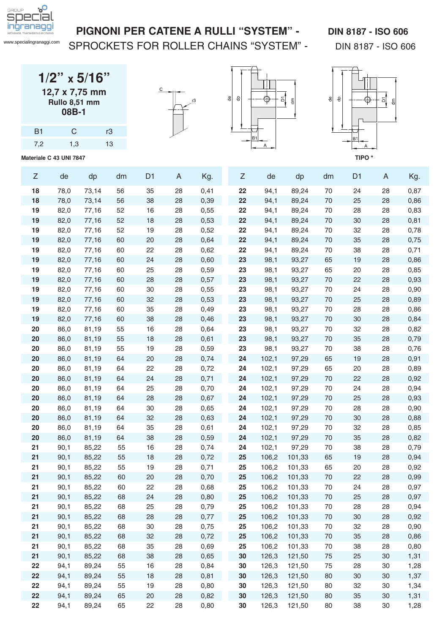

### PIGNONI PER CATENE A RULLI "SYSTEM" - DIN 8187 - ISO 606

SPROCKETS FOR ROLLER CHAINS "SYSTEM" - DIN 8187 - ISO 606

| $1/2$ " x 5/16" |       |  |
|-----------------|-------|--|
| 12,7 x 7,75 mm  |       |  |
| Rullo 8,51 mm   |       |  |
|                 | 08B-1 |  |

| <b>B1</b> | $\mathsf{C}$ | rЗ |
|-----------|--------------|----|
| 7,2       | 1,3          | 13 |
|           |              |    |







| $\ensuremath{\mathsf{Z}}$ | de           | dp             | dm       | D <sub>1</sub> | A        | Kg.          | Z        | de             | dp               | dm       | D <sub>1</sub> | A        | Kg.          |
|---------------------------|--------------|----------------|----------|----------------|----------|--------------|----------|----------------|------------------|----------|----------------|----------|--------------|
| 18                        | 78,0         | 73,14          | 56       | 35             | 28       | 0,41         | 22       | 94,1           | 89,24            | 70       | 24             | 28       | 0,87         |
| 18                        | 78,0         | 73,14          | 56       | 38             | 28       | 0,39         | 22       | 94,1           | 89,24            | 70       | 25             | 28       | 0,86         |
| 19                        | 82,0         | 77,16          | 52       | 16             | 28       | 0,55         | 22       | 94,1           | 89,24            | 70       | 28             | 28       | 0,83         |
| 19                        | 82,0         | 77,16          | 52       | 18             | 28       | 0,53         | 22       | 94,1           | 89,24            | 70       | 30             | 28       | 0,81         |
| 19                        | 82,0         | 77,16          | 52       | 19             | 28       | 0,52         | 22       | 94,1           | 89,24            | 70       | 32             | 28       | 0,78         |
| 19                        | 82,0         | 77,16          | 60       | 20             | 28       | 0,64         | 22       | 94,1           | 89,24            | 70       | 35             | 28       | 0,75         |
| 19                        | 82,0         | 77,16          | 60       | 22             | 28       | 0,62         | 22       | 94,1           | 89,24            | 70       | 38             | 28       | 0,71         |
| 19                        | 82,0         | 77,16          | 60       | 24             | 28       | 0,60         | 23       | 98,1           | 93,27            | 65       | 19             | 28       | 0,86         |
| 19                        | 82,0         | 77,16          | 60       | 25             | 28       | 0,59         | 23       | 98,1           | 93,27            | 65       | 20             | 28       | 0,85         |
| 19                        | 82,0         | 77,16          | 60       | 28             | 28       | 0,57         | 23       | 98,1           | 93,27            | 70       | 22             | 28       | 0,93         |
| 19                        | 82,0         | 77,16          | 60       | 30             | 28       | 0,55         | 23       | 98,1           | 93,27            | 70       | 24             | 28       | 0,90         |
| 19                        | 82,0         | 77,16          | 60       | 32             | 28       | 0,53         | 23       | 98,1           | 93,27            | 70       | 25             | 28       | 0,89         |
| 19                        | 82,0         | 77,16          | 60       | 35             | 28       | 0,49         | 23       | 98,1           | 93,27            | 70       | 28             | 28       | 0,86         |
| 19                        | 82,0         | 77,16          | 60       | 38             | 28       | 0,46         | 23       | 98,1           | 93,27            | 70       | 30             | 28       | 0,84         |
| 20                        | 86,0         | 81,19          | 55       | 16             | 28       | 0,64         | 23       | 98,1           | 93,27            | 70       | 32             | 28       | 0,82         |
| 20                        | 86,0         | 81,19          | 55       | 18             | 28       | 0,61         | 23       | 98,1           | 93,27            | 70       | 35             | 28       | 0,79         |
| 20                        | 86,0         | 81,19          | 55       | 19             | 28       | 0,59         | 23       | 98,1           | 93,27            | 70       | 38             | 28       | 0,76         |
| 20                        | 86,0         | 81,19          | 64       | 20             | 28       | 0,74         | 24       | 102,1          | 97,29            | 65       | 19             | 28       | 0,91         |
| 20                        | 86,0         | 81,19          | 64       | 22             | 28       | 0,72         | 24       | 102,1          | 97,29            | 65       | 20             | 28       | 0,89         |
| 20                        | 86,0         | 81,19          | 64       | 24             | 28       | 0,71         | 24       | 102,1          | 97,29            | 70       | 22             | 28       | 0,92         |
| 20                        | 86,0         | 81,19          | 64       | 25             | 28       | 0,70         | 24       | 102,1          | 97,29            | 70       | 24             | 28       | 0,94         |
| 20                        | 86,0         | 81,19          | 64       | 28             | 28       | 0,67         | 24       | 102,1          | 97,29            | 70       | 25             | 28       | 0,93         |
| 20                        | 86,0         | 81,19          | 64       | 30             | 28       | 0,65         | 24       | 102,1          | 97,29            | 70       | 28             | 28       | 0,90         |
| 20                        | 86,0         | 81,19          | 64       | 32             | 28       | 0,63         | 24       | 102,1          | 97,29            | 70       | 30             | 28       | 0,88         |
| 20                        | 86,0         | 81,19          | 64       | 35             | 28       | 0,61         | 24       | 102,1          | 97,29            | 70       | 32             | 28       | 0,85         |
| 20                        | 86,0         | 81,19          | 64       | 38             | 28       | 0,59         | 24       | 102,1          | 97,29            | 70       | 35             | 28       | 0,82         |
| 21                        | 90,1         | 85,22          | 55       | 16             | 28       | 0,74         | 24       | 102,1          | 97,29            | 70       | 38             | 28       | 0,79         |
| 21                        | 90,1         | 85,22          | 55       | 18             | 28       | 0,72         | 25       | 106,2          | 101,33           | 65       | 19             | 28       | 0,94         |
| 21<br>21                  | 90,1<br>90,1 | 85,22<br>85,22 | 55       | 19<br>20       | 28<br>28 | 0,71<br>0,70 | 25<br>25 | 106,2<br>106,2 | 101,33<br>101,33 | 65<br>70 | 20<br>22       | 28<br>28 | 0,92<br>0,99 |
| 21                        | 90,1         | 85,22          | 60<br>60 | 22             | 28       | 0,68         | 25       | 106,2          | 101,33           | 70       | 24             | 28       | 0,97         |
| 21                        | 90,1         | 85,22          | 68       | 24             | 28       | 0,80         | 25       | 106,2          | 101,33           | 70       | 25             | 28       | 0,97         |
| 21                        | 90,1         | 85,22          | 68       | 25             | 28       | 0,79         | 25       | 106,2          | 101,33           | 70       | 28             | 28       | 0,94         |
| 21                        | 90,1         | 85,22          | 68       | 28             | 28       | 0,77         | 25       | 106,2          | 101,33           | 70       | 30             | 28       | 0,92         |
| 21                        | 90,1         | 85,22          | 68       | 30             | 28       | 0,75         | 25       | 106,2          | 101,33           | 70       | 32             | 28       | 0,90         |
| 21                        | 90,1         | 85,22          | 68       | 32             | 28       | 0,72         | 25       | 106,2          | 101,33           | 70       | 35             | 28       | 0,86         |
| 21                        | 90,1         | 85,22          | 68       | 35             | 28       | 0,69         | 25       | 106,2          | 101,33           | 70       | 38             | 28       | 0,80         |
| 21                        | 90,1         | 85,22          | 68       | 38             | 28       | 0,65         | 30       | 126,3          | 121,50           | 75       | 25             | 30       | 1,31         |
| 22                        | 94,1         | 89,24          | 55       | 16             | 28       | 0,84         | 30       | 126,3          | 121,50           | 75       | 28             | 30       | 1,28         |
| 22                        | 94,1         | 89,24          | 55       | 18             | 28       | 0,81         | 30       | 126,3          | 121,50           | 80       | 30             | 30       | 1,37         |
| 22                        | 94,1         | 89,24          | 55       | 19             | 28       | 0,80         | 30       | 126,3          | 121,50           | 80       | 32             | 30       | 1,34         |
| 22                        | 94,1         | 89,24          | 65       | 20             | 28       | 0,82         | 30       | 126,3          | 121,50           | 80       | 35             | 30       | 1,31         |
| 22                        | 94,1         | 89,24          | 65       | 22             | 28       | 0,80         | 30       | 126,3          | 121,50           | 80       | 38             | 30       | 1,28         |
|                           |              |                |          |                |          |              |          |                |                  |          |                |          |              |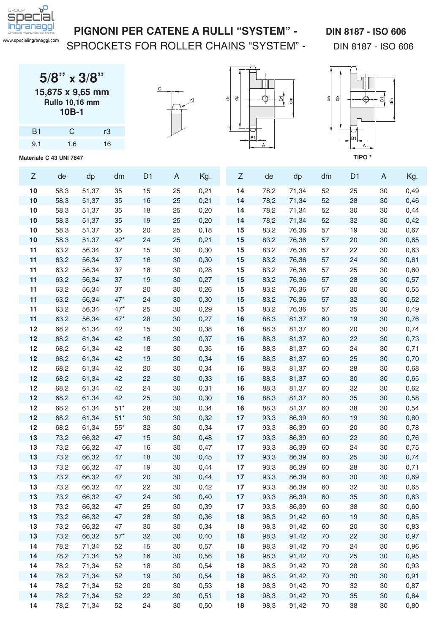

SPROCKETS FOR ROLLER CHAINS "SYSTEM" - DIN 8187 - ISO 606

**5/8" x 3/8" 15,875 x 9,65 mm Rullo 10,16 mm 10B-1**

| <b>B1</b> | C   | rЗ |
|-----------|-----|----|
| 9,1       | 1,6 | 16 |







| Z        | de           | dp             | dm           | D <sub>1</sub> | A                | Kg.          | Z        | de           | dp             | dm       | D <sub>1</sub> | A        | Kg.          |
|----------|--------------|----------------|--------------|----------------|------------------|--------------|----------|--------------|----------------|----------|----------------|----------|--------------|
| 10       | 58,3         | 51,37          | 35           | 15             | 25               | 0,21         | 14       | 78,2         | 71,34          | 52       | 25             | 30       | 0,49         |
| 10       | 58,3         | 51,37          | 35           | 16             | 25               | 0,21         | 14       | 78,2         | 71,34          | 52       | 28             | 30       | 0,46         |
| 10       | 58,3         | 51,37          | 35           | 18             | 25               | 0,20         | 14       | 78,2         | 71,34          | 52       | 30             | 30       | 0,44         |
| 10       | 58,3         | 51,37          | 35           | 19             | 25               | 0,20         | 14       | 78,2         | 71,34          | 52       | 32             | 30       | 0,42         |
| 10       | 58,3         | 51,37          | 35           | 20             | 25               | 0,18         | 15       | 83,2         | 76,36          | 57       | 19             | 30       | 0,67         |
| 10       | 58,3         | 51,37          | $42*$        | 24             | 25               | 0,21         | 15       | 83,2         | 76,36          | 57       | 20             | 30       | 0,65         |
| 11       | 63,2         | 56,34          | 37           | 15             | 30               | 0,30         | 15       | 83,2         | 76,36          | 57       | 22             | 30       | 0,63         |
| 11       | 63,2         | 56,34          | 37           | 16             | 30               | 0,30         | 15       | 83,2         | 76,36          | 57       | 24             | 30       | 0,61         |
| 11       | 63,2         | 56,34          | 37           | 18             | 30               | 0,28         | 15       | 83,2         | 76,36          | 57       | 25             | 30       | 0,60         |
| 11       | 63,2         | 56,34          | 37           | 19             | 30               | 0,27         | 15       | 83,2         | 76,36          | 57       | 28             | 30       | 0,57         |
| 11       | 63,2         | 56,34          | 37           | 20             | 30               | 0,26         | 15       | 83,2         | 76,36          | 57       | 30             | 30       | 0,55         |
| 11       | 63,2         | 56,34          | $47*$        | 24             | 30               | 0,30         | 15       | 83,2         | 76,36          | 57       | 32             | 30       | 0,52         |
| 11       | 63,2         | 56,34          | $47*$        | 25             | 30               | 0,29         | 15       | 83,2         | 76,36          | 57       | 35             | 30       | 0,49         |
| 11       | 63,2         | 56,34          | $47*$        | 28             | 30               | 0,27         | 16       | 88,3         | 81,37          | 60       | 19             | 30       | 0,76         |
| 12       | 68,2         | 61,34          | 42           | 15             | 30               | 0,38         | 16       | 88,3         | 81,37          | 60       | 20             | 30       | 0,74         |
| 12       | 68,2         | 61,34          | 42           | 16             | 30               | 0,37         | 16       | 88,3         | 81,37          | 60       | 22             | 30       | 0,73         |
| 12       | 68,2         | 61,34          | 42           | 18             | 30               | 0,35         | 16       | 88,3         | 81,37          | 60       | 24             | 30       | 0,71         |
| 12       | 68,2         | 61,34          | 42           | 19             | 30               | 0,34         | 16       | 88,3         | 81,37          | 60       | 25             | 30       | 0,70         |
| 12       | 68,2         | 61,34          | 42           | 20             | 30               | 0,34         | 16       | 88,3         | 81,37          | 60       | 28             | 30       | 0,68         |
| 12       | 68,2         | 61,34          | 42           | 22             | 30               | 0,33         | 16       | 88,3         | 81,37          | 60       | 30             | 30       | 0,65         |
| 12       | 68,2         | 61,34          | 42           | 24             | 30               | 0,31         | 16       | 88,3         | 81,37          | 60       | 32             | 30       | 0,62         |
| 12       | 68,2         | 61,34          | 42           | 25             | 30               | 0,30         | 16       | 88,3         | 81,37          | 60       | 35             | 30       | 0,58         |
| 12       | 68,2         | 61,34          | $51*$        | 28             | 30               | 0,34         | 16       | 88,3         | 81,37          | 60       | 38             | 30       | 0,54         |
| 12       | 68,2         | 61,34          | $51*$        | 30             | 30               | 0,32         | 17       | 93,3         | 86,39          | 60       | 19             | 30       | 0,80         |
| 12       | 68,2         | 61,34          | $55^{\star}$ | 32             | 30               | 0,34         | 17       | 93,3         | 86,39          | 60       | 20             | 30       | 0,78         |
| 13       | 73,2         | 66,32          | 47           | 15             | 30               | 0,48         | 17       | 93,3         | 86,39          | 60       | 22             | 30       | 0,76         |
| 13       | 73,2         | 66,32          | 47           | 16             | 30               | 0,47         | 17       | 93,3         | 86,39          | 60       | 24             | 30       | 0,75         |
| 13       | 73,2         | 66,32          | 47           | 18             | 30               | 0,45         | 17       | 93,3         | 86,39          | 60       | 25             | 30       | 0,74         |
| 13       | 73,2         | 66,32          | 47           | 19             | 30               | 0,44         | 17       | 93,3         | 86,39          | 60       | 28             | 30       | 0,71         |
| 13       | 73,2         | 66,32          | 47           | 20             | 30               | 0,44         | 17       | 93,3         | 86,39          | 60       | 30             | 30       | 0,69         |
| 13       | 73,2         | 66,32          | 47           | 22             | 30               | 0,42         | 17       | 93,3         | 86,39          | 60       | 32             | 30       | 0,65         |
| 13       | 73,2         | 66,32          | 47           | 24             | 30               | 0,40         | 17       | 93,3         | 86,39          | 60       | 35             | 30       | 0,63         |
| 13       | 73,2         | 66,32          | 47           | 25             | 30               | 0,39         | 17       | 93,3         | 86,39          | 60       | 38             | 30       | 0,60         |
| 13<br>13 | 73,2         | 66,32          | 47<br>47     | 28<br>30       | 30               | 0,36         | 18       | 98,3         | 91,42          | 60<br>60 | 19             | 30<br>30 | 0,85         |
| 13       | 73,2<br>73,2 | 66,32<br>66,32 | $57^{\star}$ | 32             | $30\,$<br>$30\,$ | 0,34<br>0,40 | 18<br>18 | 98,3<br>98,3 | 91,42<br>91,42 | 70       | 20<br>22       | 30       | 0,83         |
| 14       | 78,2         | 71,34          | 52           | 15             | $30\,$           | 0,57         | 18       | 98,3         | 91,42          | 70       | 24             | 30       | 0,97<br>0,96 |
| 14       | 78,2         | 71,34          | 52           | 16             | $30\,$           | 0,56         | 18       | 98,3         | 91,42          | 70       | 25             | 30       | 0,95         |
| 14       | 78,2         | 71,34          | 52           | 18             | $30\,$           | 0,54         | 18       | 98,3         | 91,42          | 70       | 28             | 30       |              |
| 14       | 78,2         | 71,34          | 52           | 19             | $30\,$           | 0,54         | 18       | 98,3         | 91,42          | 70       | $30\,$         | 30       | 0,93<br>0,91 |
| 14       | 78,2         | 71,34          | 52           | 20             | $30\,$           | 0,53         | 18       | 98,3         | 91,42          | 70       | 32             | 30       | 0,87         |
| 14       | 78,2         | 71,34          | 52           | 22             | $30\,$           | 0,51         | 18       | 98,3         | 91,42          | 70       | 35             | 30       | 0,84         |
| 14       | 78,2         | 71,34          | 52           | 24             | $30\,$           | 0,50         | 18       | 98,3         | 91,42          | $70\,$   | 38             | 30       | 0,80         |
|          |              |                |              |                |                  |              |          |              |                |          |                |          |              |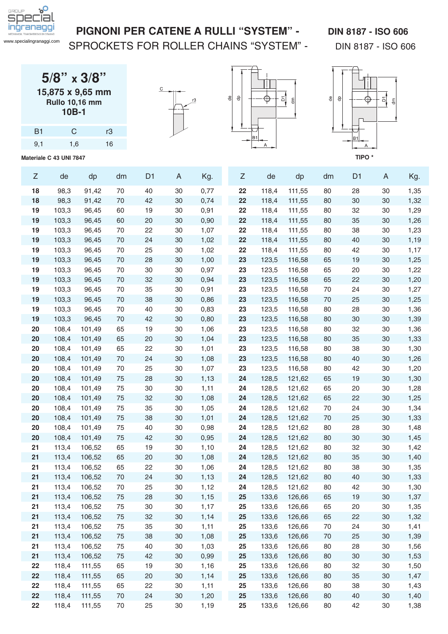

SPROCKETS FOR ROLLER CHAINS "SYSTEM" - DIN 8187 - ISO 606

| $5/8$ " x $3/8$ "     |
|-----------------------|
| 15,875 x 9,65 mm      |
| <b>Rullo 10,16 mm</b> |
| 10B-1                 |

B1 C r3 9,1 1,6 16







| Ζ  | de    | dp     | dm | D <sub>1</sub> | A      | Kg.  | Z  | de    | dp     | dm | D <sub>1</sub> | A      | Kg.  |
|----|-------|--------|----|----------------|--------|------|----|-------|--------|----|----------------|--------|------|
| 18 | 98,3  | 91,42  | 70 | 40             | 30     | 0,77 | 22 | 118,4 | 111,55 | 80 | 28             | 30     | 1,35 |
| 18 | 98,3  | 91,42  | 70 | 42             | 30     | 0,74 | 22 | 118,4 | 111,55 | 80 | 30             | 30     | 1,32 |
| 19 | 103,3 | 96,45  | 60 | 19             | 30     | 0,91 | 22 | 118,4 | 111,55 | 80 | 32             | 30     | 1,29 |
| 19 | 103,3 | 96,45  | 60 | 20             | $30\,$ | 0,90 | 22 | 118,4 | 111,55 | 80 | 35             | 30     | 1,26 |
| 19 | 103,3 | 96,45  | 70 | 22             | 30     | 1,07 | 22 | 118,4 | 111,55 | 80 | 38             | 30     | 1,23 |
| 19 | 103,3 | 96,45  | 70 | 24             | 30     | 1,02 | 22 | 118,4 | 111,55 | 80 | 40             | 30     | 1,19 |
| 19 | 103,3 | 96,45  | 70 | 25             | 30     | 1,02 | 22 | 118,4 | 111,55 | 80 | 42             | 30     | 1,17 |
| 19 | 103,3 | 96,45  | 70 | 28             | 30     | 1,00 | 23 | 123,5 | 116,58 | 65 | 19             | 30     | 1,25 |
| 19 | 103,3 | 96,45  | 70 | 30             | 30     | 0,97 | 23 | 123,5 | 116,58 | 65 | 20             | 30     | 1,22 |
| 19 | 103,3 | 96,45  | 70 | 32             | 30     | 0,94 | 23 | 123,5 | 116,58 | 65 | 22             | 30     | 1,20 |
| 19 | 103,3 | 96,45  | 70 | 35             | 30     | 0,91 | 23 | 123,5 | 116,58 | 70 | 24             | 30     | 1,27 |
| 19 | 103,3 | 96,45  | 70 | 38             | 30     | 0,86 | 23 | 123,5 | 116,58 | 70 | 25             | 30     | 1,25 |
| 19 | 103,3 | 96,45  | 70 | 40             | 30     | 0,83 | 23 | 123,5 | 116,58 | 80 | 28             | 30     | 1,36 |
| 19 | 103,3 | 96,45  | 70 | 42             | 30     | 0,80 | 23 | 123,5 | 116,58 | 80 | 30             | 30     | 1,39 |
| 20 | 108,4 | 101,49 | 65 | 19             | 30     | 1,06 | 23 | 123,5 | 116,58 | 80 | 32             | 30     | 1,36 |
| 20 | 108,4 | 101,49 | 65 | 20             | 30     | 1,04 | 23 | 123,5 | 116,58 | 80 | 35             | 30     | 1,33 |
| 20 | 108,4 | 101,49 | 65 | 22             | 30     | 1,01 | 23 | 123,5 | 116,58 | 80 | 38             | 30     | 1,30 |
| 20 | 108,4 | 101,49 | 70 | 24             | 30     | 1,08 | 23 | 123,5 | 116,58 | 80 | 40             | 30     | 1,26 |
| 20 | 108,4 | 101,49 | 70 | 25             | 30     | 1,07 | 23 | 123,5 | 116,58 | 80 | 42             | 30     | 1,20 |
| 20 | 108,4 | 101,49 | 75 | 28             | $30\,$ | 1,13 | 24 | 128,5 | 121,62 | 65 | 19             | 30     | 1,30 |
| 20 | 108,4 | 101,49 | 75 | 30             | 30     | 1,11 | 24 | 128,5 | 121,62 | 65 | 20             | 30     | 1,28 |
| 20 | 108,4 | 101,49 | 75 | 32             | 30     | 1,08 | 24 | 128,5 | 121,62 | 65 | 22             | 30     | 1,25 |
| 20 | 108,4 | 101,49 | 75 | 35             | 30     | 1,05 | 24 | 128,5 | 121,62 | 70 | 24             | 30     | 1,34 |
| 20 | 108,4 | 101,49 | 75 | 38             | 30     | 1,01 | 24 | 128,5 | 121,62 | 70 | 25             | 30     | 1,33 |
| 20 | 108,4 | 101,49 | 75 | 40             | 30     | 0,98 | 24 | 128,5 | 121,62 | 80 | 28             | 30     | 1,48 |
| 20 | 108,4 | 101,49 | 75 | 42             | 30     | 0,95 | 24 | 128,5 | 121,62 | 80 | 30             | 30     | 1,45 |
| 21 | 113,4 | 106,52 | 65 | 19             | 30     | 1,10 | 24 | 128,5 | 121,62 | 80 | 32             | 30     | 1,42 |
| 21 | 113,4 | 106,52 | 65 | 20             | 30     | 1,08 | 24 | 128,5 | 121,62 | 80 | 35             | 30     | 1,40 |
| 21 | 113,4 | 106,52 | 65 | 22             | 30     | 1,06 | 24 | 128,5 | 121,62 | 80 | 38             | 30     | 1,35 |
| 21 | 113,4 | 106,52 | 70 | 24             | 30     | 1,13 | 24 | 128,5 | 121,62 | 80 | 40             | 30     | 1,33 |
| 21 | 113,4 | 106,52 | 70 | 25             | 30     | 1,12 | 24 | 128,5 | 121,62 | 80 | 42             | 30     | 1,30 |
| 21 | 113,4 | 106,52 | 75 | 28             | 30     | 1,15 | 25 | 133,6 | 126,66 | 65 | 19             | 30     | 1,37 |
| 21 | 113,4 | 106,52 | 75 | 30             | 30     | 1,17 | 25 | 133,6 | 126,66 | 65 | 20             | 30     | 1,35 |
| 21 | 113,4 | 106,52 | 75 | 32             | 30     | 1,14 | 25 | 133,6 | 126,66 | 65 | 22             | 30     | 1,32 |
| 21 | 113,4 | 106,52 | 75 | 35             | $30\,$ | 1,11 | 25 | 133,6 | 126,66 | 70 | 24             | 30     | 1,41 |
| 21 | 113,4 | 106,52 | 75 | 38             | $30\,$ | 1,08 | 25 | 133,6 | 126,66 | 70 | 25             | 30     | 1,39 |
| 21 | 113,4 | 106,52 | 75 | 40             | $30\,$ | 1,03 | 25 | 133,6 | 126,66 | 80 | 28             | $30\,$ | 1,56 |
| 21 | 113,4 | 106,52 | 75 | 42             | $30\,$ | 0,99 | 25 | 133,6 | 126,66 | 80 | $30\,$         | 30     | 1,53 |
| 22 | 118,4 | 111,55 | 65 | 19             | $30\,$ | 1,16 | 25 | 133,6 | 126,66 | 80 | 32             | 30     | 1,50 |
| 22 | 118,4 | 111,55 | 65 | 20             | $30\,$ | 1,14 | 25 | 133,6 | 126,66 | 80 | 35             | 30     | 1,47 |
| 22 | 118,4 | 111,55 | 65 | 22             | $30\,$ | 1,11 | 25 | 133,6 | 126,66 | 80 | 38             | 30     | 1,43 |
| 22 | 118,4 | 111,55 | 70 | 24             | $30\,$ | 1,20 | 25 | 133,6 | 126,66 | 80 | 40             | 30     | 1,40 |
| 22 | 118,4 | 111,55 | 70 | 25             | 30     | 1,19 | 25 | 133,6 | 126,66 | 80 | 42             | $30\,$ | 1,38 |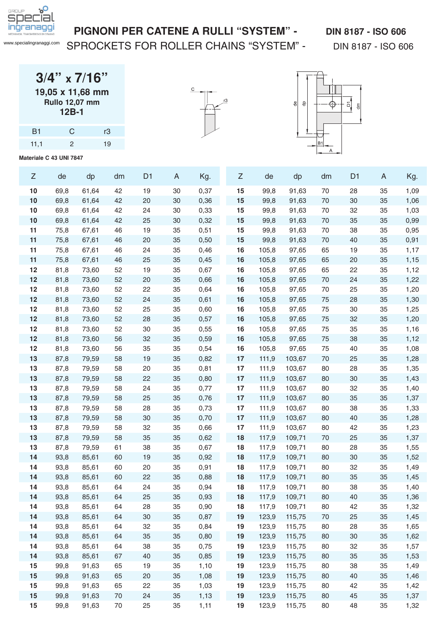

#### PIGNONI PER CATENE A RULLI "SYSTEM" - DIN 8187 - ISO 606

SPROCKETS FOR ROLLER CHAINS "SYSTEM" - DIN 8187 - ISO 606

**3/4" x 7/16" 19,05 x 11,68 mm Rullo 12,07 mm 12B-1**

| <b>B1</b> | $\mathcal{C}$  | r3 |
|-----------|----------------|----|
| 11,1      | $\overline{2}$ | 19 |





| Ζ        | de           | dp             | dm       | D <sub>1</sub> | A        | Kg.          | Z        | de             | dp               | dm       | D <sub>1</sub> | A        | Kg.          |
|----------|--------------|----------------|----------|----------------|----------|--------------|----------|----------------|------------------|----------|----------------|----------|--------------|
| 10       | 69,8         | 61,64          | 42       | 19             | 30       | 0,37         | 15       | 99,8           | 91,63            | 70       | 28             | 35       | 1,09         |
| 10       | 69,8         | 61,64          | 42       | 20             | 30       | 0,36         | 15       | 99,8           | 91,63            | 70       | 30             | 35       | 1,06         |
| 10       | 69,8         | 61,64          | 42       | 24             | 30       | 0,33         | 15       | 99,8           | 91,63            | 70       | 32             | 35       | 1,03         |
| 10       | 69,8         | 61,64          | 42       | 25             | 30       | 0,32         | 15       | 99,8           | 91,63            | 70       | 35             | 35       | 0,99         |
| 11       | 75,8         | 67,61          | 46       | 19             | 35       | 0,51         | 15       | 99,8           | 91,63            | 70       | 38             | 35       | 0,95         |
| 11       | 75,8         | 67,61          | 46       | 20             | 35       | 0,50         | 15       | 99,8           | 91,63            | 70       | 40             | 35       | 0,91         |
| 11       | 75,8         | 67,61          | 46       | 24             | 35       | 0,46         | 16       | 105,8          | 97,65            | 65       | 19             | 35       | 1,17         |
| 11       | 75,8         | 67,61          | 46       | 25             | 35       | 0,45         | 16       | 105,8          | 97,65            | 65       | 20             | 35       | 1,15         |
| 12       | 81,8         | 73,60          | 52       | 19             | 35       | 0,67         | 16       | 105,8          | 97,65            | 65       | 22             | 35       | 1,12         |
| 12       | 81,8         | 73,60          | 52       | 20             | 35       | 0,66         | 16       | 105,8          | 97,65            | 70       | 24             | 35       | 1,22         |
| 12       | 81,8         | 73,60          | 52       | 22             | 35       | 0,64         | 16       | 105,8          | 97,65            | 70       | 25             | 35       | 1,20         |
| 12       | 81,8         | 73,60          | 52       | 24             | 35       | 0,61         | 16       | 105,8          | 97,65            | 75       | 28             | 35       | 1,30         |
| 12       | 81,8         | 73,60          | 52       | 25             | 35       | 0,60         | 16       | 105,8          | 97,65            | 75       | 30             | 35       | 1,25         |
| 12       | 81,8         | 73,60          | 52       | 28             | 35       | 0,57         | 16       | 105,8          | 97,65            | 75       | 32             | 35       | 1,20         |
| 12       | 81,8         | 73,60          | 52       | 30             | 35       | 0,55         | 16       | 105,8          | 97,65            | 75       | 35             | 35       | 1,16         |
| 12       | 81,8         | 73,60          | 56       | 32             | 35       | 0,59         | 16       | 105,8          | 97,65            | 75       | 38             | 35       | 1,12         |
| 12       | 81,8         | 73,60          | 56       | 35             | 35       | 0,54         | 16       | 105,8          | 97,65            | 75       | 40             | 35       | 1,08         |
| 13       | 87,8         | 79,59          | 58       | 19             | 35       | 0,82         | 17       | 111,9          | 103,67           | 70       | 25             | 35       | 1,28         |
| 13       | 87,8         | 79,59          | 58       | 20             | 35       | 0,81         | 17       | 111,9          | 103,67           | 80       | 28             | 35       | 1,35         |
| 13       | 87,8         | 79,59          | 58       | 22             | 35       | 0,80         | 17       | 111,9          | 103,67           | 80       | 30             | 35       | 1,43         |
| 13       | 87,8         | 79,59          | 58       | 24             | 35       | 0,77         | 17       | 111,9          | 103,67           | 80       | 32             | 35       | 1,40         |
| 13       | 87,8         | 79,59          | 58       | 25             | 35       | 0,76         | 17       | 111,9          | 103,67           | 80       | 35             | 35       | 1,37         |
| 13       | 87,8         | 79,59          | 58       | 28             | 35       | 0,73         | 17       | 111,9          | 103,67           | 80       | 38             | 35       | 1,33         |
| 13       | 87,8         | 79,59          | 58       | 30             | 35       | 0,70         | 17       | 111,9          | 103,67           | 80       | 40             | 35       | 1,28         |
| 13       | 87,8         | 79,59          | 58       | 32             | 35       | 0,66         | 17       | 111,9          | 103,67           | 80       | 42             | 35       | 1,23         |
| 13       | 87,8         | 79,59          | 58       | 35             | 35       | 0,62         | 18       | 117,9          | 109,71           | 70       | 25             | 35       | 1,37         |
| 13       | 87,8         | 79,59          | 61       | 38             | 35       | 0,67         | 18       | 117,9          | 109,71           | 80       | 28             | 35       | 1,55         |
| 14       | 93,8         | 85,61          | 60       | 19             | 35       | 0,92         | 18       | 117,9          | 109,71           | 80       | 30             | 35       | 1,52         |
| 14       | 93,8         | 85,61          | 60       | 20             | 35       | 0,91         | 18       | 117,9          | 109,71           | 80       | 32<br>35       | 35       | 1,49         |
| 14<br>14 | 93,8<br>93,8 | 85,61<br>85,61 | 60<br>64 | 22<br>24       | 35<br>35 | 0,88         | 18<br>18 | 117,9<br>117,9 | 109,71<br>109,71 | 80<br>80 | 38             | 35<br>35 | 1,45         |
| 14       | 93,8         | 85,61          | 64       | 25             | 35       | 0,94<br>0,93 | 18       | 117,9          | 109,71           | 80       | 40             | 35       | 1,40<br>1,36 |
| 14       | 93,8         | 85,61          | 64       | 28             | 35       | 0,90         | 18       | 117,9          | 109,71           | 80       | 42             | 35       | 1,32         |
| 14       | 93,8         | 85,61          | 64       | $30\,$         | 35       | 0,87         | 19       | 123,9          | 115,75           | 70       | 25             | 35       | 1,45         |
| 14       | 93,8         | 85,61          | 64       | 32             | 35       | 0,84         | 19       | 123,9          | 115,75           | 80       | 28             | 35       | 1,65         |
| 14       | 93,8         | 85,61          | 64       | 35             | 35       | 0,80         | 19       | 123,9          | 115,75           | 80       | $30\,$         | 35       | 1,62         |
| 14       | 93,8         | 85,61          | 64       | 38             | 35       | 0,75         | 19       | 123,9          | 115,75           | 80       | 32             | 35       | 1,57         |
| 14       | 93,8         | 85,61          | 67       | 40             | 35       | 0,85         | 19       | 123,9          | 115,75           | 80       | 35             | 35       | 1,53         |
| 15       | 99,8         | 91,63          | 65       | 19             | 35       | 1,10         | 19       | 123,9          | 115,75           | 80       | 38             | 35       | 1,49         |
| 15       | 99,8         | 91,63          | 65       | 20             | 35       | 1,08         | 19       | 123,9          | 115,75           | 80       | 40             | 35       | 1,46         |
| 15       | 99,8         | 91,63          | 65       | 22             | 35       | 1,03         | 19       | 123,9          | 115,75           | 80       | 42             | 35       | 1,42         |
| 15       | 99,8         | 91,63          | 70       | 24             | 35       | 1,13         | 19       | 123,9          | 115,75           | 80       | 45             | 35       | 1,37         |
| 15       | 99,8         | 91,63          | 70       | 25             | 35       | 1,11         | 19       | 123,9          | 115,75           | 80       | 48             | 35       | 1,32         |
|          |              |                |          |                |          |              |          |                |                  |          |                |          |              |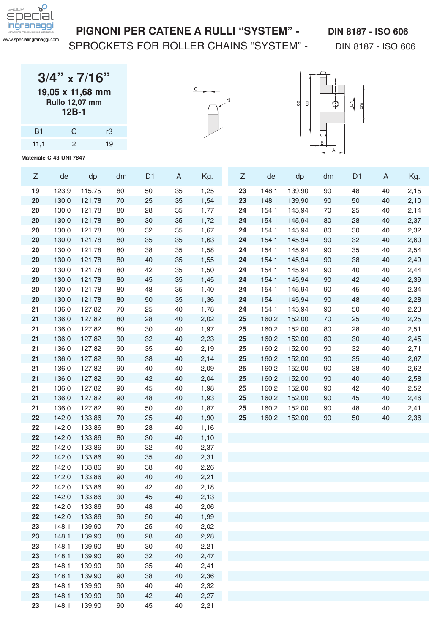

### SPROCKETS FOR ROLLER CHAINS "SYSTEM" - DIN 8187 - ISO 606

| $3/4$ " x 7/16"       |
|-----------------------|
| 19,05 x 11,68 mm      |
| <b>Rullo 12,07 mm</b> |
| $12B-1$               |

| B1   | $\mathcal{C}$  | rЗ |
|------|----------------|----|
| 11,1 | $\overline{2}$ | 19 |

148,1 139,90 90 45 40 2,21





| Ζ  | de    | dp     | dm | D <sub>1</sub> | A  | Kg.  | Z  | de    | dp     | dm | D <sub>1</sub> | A  | Kg.  |
|----|-------|--------|----|----------------|----|------|----|-------|--------|----|----------------|----|------|
| 19 | 123,9 | 115,75 | 80 | 50             | 35 | 1,25 | 23 | 148,1 | 139,90 | 90 | 48             | 40 | 2,15 |
| 20 | 130,0 | 121,78 | 70 | 25             | 35 | 1,54 | 23 | 148,1 | 139,90 | 90 | 50             | 40 | 2,10 |
| 20 | 130,0 | 121,78 | 80 | 28             | 35 | 1,77 | 24 | 154,1 | 145,94 | 70 | 25             | 40 | 2,14 |
| 20 | 130,0 | 121,78 | 80 | 30             | 35 | 1,72 | 24 | 154,1 | 145,94 | 80 | 28             | 40 | 2,37 |
| 20 | 130,0 | 121,78 | 80 | 32             | 35 | 1,67 | 24 | 154,1 | 145,94 | 80 | 30             | 40 | 2,32 |
| 20 | 130,0 | 121,78 | 80 | 35             | 35 | 1,63 | 24 | 154,1 | 145,94 | 90 | 32             | 40 | 2,60 |
| 20 | 130,0 | 121,78 | 80 | 38             | 35 | 1,58 | 24 | 154,1 | 145,94 | 90 | 35             | 40 | 2,54 |
| 20 | 130,0 | 121,78 | 80 | 40             | 35 | 1,55 | 24 | 154,1 | 145,94 | 90 | 38             | 40 | 2,49 |
| 20 | 130,0 | 121,78 | 80 | 42             | 35 | 1,50 | 24 | 154,1 | 145,94 | 90 | 40             | 40 | 2,44 |
| 20 | 130,0 | 121,78 | 80 | 45             | 35 | 1,45 | 24 | 154,1 | 145,94 | 90 | 42             | 40 | 2,39 |
| 20 | 130,0 | 121,78 | 80 | 48             | 35 | 1,40 | 24 | 154,1 | 145,94 | 90 | 45             | 40 | 2,34 |
| 20 | 130,0 | 121,78 | 80 | 50             | 35 | 1,36 | 24 | 154,1 | 145,94 | 90 | 48             | 40 | 2,28 |
| 21 | 136,0 | 127,82 | 70 | 25             | 40 | 1,78 | 24 | 154,1 | 145,94 | 90 | 50             | 40 | 2,23 |
| 21 | 136,0 | 127,82 | 80 | 28             | 40 | 2,02 | 25 | 160,2 | 152,00 | 70 | 25             | 40 | 2,25 |
| 21 | 136,0 | 127,82 | 80 | 30             | 40 | 1,97 | 25 | 160,2 | 152,00 | 80 | 28             | 40 | 2,51 |
| 21 | 136,0 | 127,82 | 90 | 32             | 40 | 2,23 | 25 | 160,2 | 152,00 | 80 | 30             | 40 | 2,45 |
| 21 | 136,0 | 127,82 | 90 | 35             | 40 | 2,19 | 25 | 160,2 | 152,00 | 90 | 32             | 40 | 2,71 |
| 21 | 136,0 | 127,82 | 90 | 38             | 40 | 2,14 | 25 | 160,2 | 152,00 | 90 | 35             | 40 | 2,67 |
| 21 | 136,0 | 127,82 | 90 | 40             | 40 | 2,09 | 25 | 160,2 | 152,00 | 90 | 38             | 40 | 2,62 |
| 21 | 136,0 | 127,82 | 90 | 42             | 40 | 2,04 | 25 | 160,2 | 152,00 | 90 | 40             | 40 | 2,58 |
| 21 | 136,0 | 127,82 | 90 | 45             | 40 | 1,98 | 25 | 160,2 | 152,00 | 90 | 42             | 40 | 2,52 |
| 21 | 136,0 | 127,82 | 90 | 48             | 40 | 1,93 | 25 | 160,2 | 152,00 | 90 | 45             | 40 | 2,46 |
| 21 | 136,0 | 127,82 | 90 | 50             | 40 | 1,87 | 25 | 160,2 | 152,00 | 90 | 48             | 40 | 2,41 |
| 22 | 142,0 | 133,86 | 70 | 25             | 40 | 1,90 | 25 | 160,2 | 152,00 | 90 | 50             | 40 | 2,36 |
| 22 | 142,0 | 133,86 | 80 | 28             | 40 | 1,16 |    |       |        |    |                |    |      |
| 22 | 142,0 | 133,86 | 80 | 30             | 40 | 1,10 |    |       |        |    |                |    |      |
| 22 | 142,0 | 133,86 | 90 | 32             | 40 | 2,37 |    |       |        |    |                |    |      |
| 22 | 142,0 | 133,86 | 90 | 35             | 40 | 2,31 |    |       |        |    |                |    |      |
| 22 | 142,0 | 133,86 | 90 | 38             | 40 | 2,26 |    |       |        |    |                |    |      |
| 22 | 142,0 | 133,86 | 90 | 40             | 40 | 2,21 |    |       |        |    |                |    |      |
| 22 | 142,0 | 133,86 | 90 | 42             | 40 | 2,18 |    |       |        |    |                |    |      |
| 22 | 142,0 | 133,86 | 90 | 45             | 40 | 2,13 |    |       |        |    |                |    |      |
| 22 | 142,0 | 133,86 | 90 | 48             | 40 | 2,06 |    |       |        |    |                |    |      |
| 22 | 142,0 | 133,86 | 90 | 50             | 40 | 1,99 |    |       |        |    |                |    |      |
| 23 | 148,1 | 139,90 | 70 | 25             | 40 | 2,02 |    |       |        |    |                |    |      |
| 23 | 148,1 | 139,90 | 80 | 28             | 40 | 2,28 |    |       |        |    |                |    |      |
| 23 | 148,1 | 139,90 | 80 | 30             | 40 | 2,21 |    |       |        |    |                |    |      |
| 23 | 148,1 | 139,90 | 90 | 32             | 40 | 2,47 |    |       |        |    |                |    |      |
| 23 | 148,1 | 139,90 | 90 | 35             | 40 | 2,41 |    |       |        |    |                |    |      |
| 23 | 148,1 | 139,90 | 90 | 38             | 40 | 2,36 |    |       |        |    |                |    |      |
| 23 | 148,1 | 139,90 | 90 | 40             | 40 | 2,32 |    |       |        |    |                |    |      |
| 23 | 148,1 | 139,90 | 90 | 42             | 40 | 2,27 |    |       |        |    |                |    |      |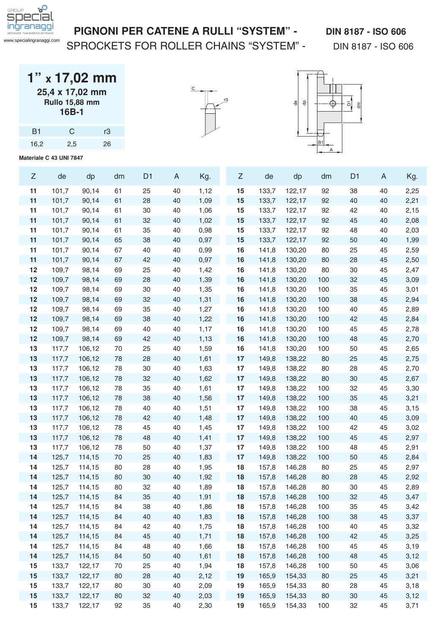

SPROCKETS FOR ROLLER CHAINS "SYSTEM" - DIN 8187 - ISO 606

| $1"$ x 17,02 mm       |
|-----------------------|
| 25,4 x 17,02 mm       |
| <b>Rullo 15,88 mm</b> |
| 16B-1                 |

| B1   | C   | rЗ |
|------|-----|----|
| 16,2 | 2,5 | 26 |





| $\ensuremath{\mathsf{Z}}$ | de             | dp     | dm | D <sub>1</sub> | A      | Kg.  | Z  | de             | dp     | dm  | D <sub>1</sub> | A  | Kg.  |
|---------------------------|----------------|--------|----|----------------|--------|------|----|----------------|--------|-----|----------------|----|------|
| 11                        | 101,7          | 90,14  | 61 | 25             | 40     | 1,12 | 15 | 133,7          | 122,17 | 92  | 38             | 40 | 2,25 |
| 11                        | 101,7          | 90,14  | 61 | 28             | 40     | 1,09 | 15 | 133,7          | 122,17 | 92  | 40             | 40 | 2,21 |
| 11                        | 101,7          | 90,14  | 61 | 30             | 40     | 1,06 | 15 | 133,7          | 122,17 | 92  | 42             | 40 | 2,15 |
| 11                        | 101,7          | 90,14  | 61 | 32             | 40     | 1,02 | 15 | 133,7          | 122,17 | 92  | 45             | 40 | 2,08 |
| 11                        | 101,7          | 90,14  | 61 | 35             | 40     | 0,98 | 15 | 133,7          | 122,17 | 92  | 48             | 40 | 2,03 |
| 11                        | 101,7          | 90,14  | 65 | 38             | 40     | 0,97 | 15 | 133,7          | 122,17 | 92  | 50             | 40 | 1,99 |
| 11                        | 101,7          | 90,14  | 67 | 40             | 40     | 0,99 | 16 | 141,8          | 130,20 | 80  | 25             | 45 | 2,59 |
| 11                        | 101,7          | 90,14  | 67 | 42             | 40     | 0,97 | 16 | 141,8          | 130,20 | 80  | 28             | 45 | 2,50 |
| 12                        | 109,7          | 98,14  | 69 | 25             | 40     | 1,42 | 16 | 141,8          | 130,20 | 80  | 30             | 45 | 2,47 |
| 12                        | 109,7          | 98,14  | 69 | 28             | 40     | 1,39 | 16 | 141,8          | 130,20 | 100 | 32             | 45 | 3,09 |
| 12                        | 109,7          | 98,14  | 69 | 30             | 40     | 1,35 | 16 | 141,8          | 130,20 | 100 | 35             | 45 | 3,01 |
| 12                        | 109,7          | 98,14  | 69 | 32             | 40     | 1,31 | 16 | 141,8          | 130,20 | 100 | 38             | 45 | 2,94 |
| 12                        | 109,7          | 98,14  | 69 | 35             | 40     | 1,27 | 16 | 141,8          | 130,20 | 100 | 40             | 45 | 2,89 |
| 12                        | 109,7          | 98,14  | 69 | 38             | 40     | 1,22 | 16 | 141,8          | 130,20 | 100 | 42             | 45 | 2,84 |
| 12                        | 109,7          | 98,14  | 69 | 40             | 40     | 1,17 | 16 | 141,8          | 130,20 | 100 | 45             | 45 | 2,78 |
| 12                        | 109,7          | 98,14  | 69 | 42             | 40     | 1,13 | 16 | 141,8          | 130,20 | 100 | 48             | 45 | 2,70 |
| 13                        | 117,7          | 106,12 | 70 | 25             | 40     | 1,59 | 16 | 141,8          | 130,20 | 100 | 50             | 45 | 2,65 |
| 13                        | 117,7          | 106,12 | 78 | 28             | 40     | 1,61 | 17 | 149,8          | 138,22 | 80  | 25             | 45 | 2,75 |
| 13                        | 117,7          | 106,12 | 78 | 30             | 40     | 1,63 | 17 | 149,8          | 138,22 | 80  | 28             | 45 | 2,70 |
| 13                        | 117,7          | 106,12 | 78 | 32             | 40     | 1,62 | 17 | 149,8          | 138,22 | 80  | 30             | 45 | 2,67 |
| 13                        | 117,7          | 106,12 | 78 | 35             | 40     | 1,61 | 17 | 149,8          | 138,22 | 100 | 32             | 45 | 3,30 |
| 13                        | 117,7          | 106,12 | 78 | 38             | 40     | 1,56 | 17 | 149,8          | 138,22 | 100 | 35             | 45 | 3,21 |
| 13                        | 117,7          | 106,12 | 78 | 40             | 40     | 1,51 | 17 | 149,8          | 138,22 | 100 | 38             | 45 | 3,15 |
| 13                        | 117,7          | 106,12 | 78 | 42             | 40     | 1,48 | 17 | 149,8          | 138,22 | 100 | 40             | 45 | 3,09 |
| 13                        | 117,7          | 106,12 | 78 | 45             | 40     | 1,45 | 17 | 149,8          | 138,22 | 100 | 42             | 45 | 3,02 |
| 13                        | 117,7          | 106,12 | 78 | 48             | 40     | 1,41 | 17 | 149,8          | 138,22 | 100 | 45             | 45 | 2,97 |
| 13                        | 117,7          | 106,12 | 78 | 50             | 40     | 1,37 | 17 | 149,8          | 138,22 | 100 | 48             | 45 | 2,91 |
| 14                        | 125,7          | 114,15 | 70 | 25             | 40     | 1,83 | 17 | 149,8          | 138,22 | 100 | 50             | 45 | 2,84 |
| 14                        | 125,7          | 114,15 | 80 | 28             | 40     | 1,95 | 18 | 157,8          | 146,28 | 80  | 25             | 45 | 2,97 |
| 14                        | 125,7          | 114,15 | 80 | 30             | 40     | 1,92 | 18 | 157,8          | 146,28 | 80  | 28             | 45 | 2,92 |
| 14                        | 125,7          | 114,15 | 80 | 32             | 40     | 1,89 | 18 | 157,8          | 146,28 | 80  | 30             | 45 | 2,89 |
| 14                        | 125,7          | 114,15 | 84 | 35             | 40     | 1,91 | 18 | 157,8          | 146,28 | 100 | 32             | 45 | 3,47 |
| 14                        | 125,7          | 114,15 | 84 | 38             | 40     | 1,86 | 18 | 157,8          | 146,28 | 100 | 35             | 45 | 3,42 |
| 14                        | 125,7          | 114,15 | 84 | 40             | 40     | 1,83 | 18 | 157,8          | 146,28 | 100 | 38             | 45 | 3,37 |
| 14                        | 125,7          | 114,15 | 84 | 42             | $40\,$ | 1,75 | 18 | 157,8          | 146,28 | 100 | 40             | 45 | 3,32 |
| 14                        | 125,7          | 114,15 | 84 | 45             | 40     | 1,71 | 18 | 157,8          | 146,28 | 100 | 42             | 45 | 3,25 |
| 14                        | 125,7          | 114,15 | 84 | 48             | 40     | 1,66 | 18 | 157,8          | 146,28 | 100 | 45             | 45 | 3,19 |
| 14                        | 125,7          | 114,15 | 84 | 50             | 40     | 1,61 | 18 | 157,8          | 146,28 | 100 | 48             | 45 | 3,12 |
| 15                        | 133,7          | 122,17 | 70 | 25             | 40     | 1,94 | 18 | 157,8          | 146,28 | 100 | 50             | 45 | 3,06 |
| 15                        | 133,7          | 122,17 | 80 | 28             | 40     | 2,12 | 19 | 165,9          | 154,33 | 80  | 25             | 45 | 3,21 |
| 15                        | 133,7<br>133,7 | 122,17 | 80 | 30             | 40     | 2,09 | 19 | 165,9<br>165,9 | 154,33 | 80  | 28             | 45 | 3,18 |
| 15                        |                | 122,17 | 80 | 32             | 40     | 2,03 | 19 |                | 154,33 | 80  | $30\,$         | 45 | 3,12 |
| 15                        | 133,7          | 122,17 | 92 | 35             | 40     | 2,30 | 19 | 165,9          | 154,33 | 100 | 32             | 45 | 3,71 |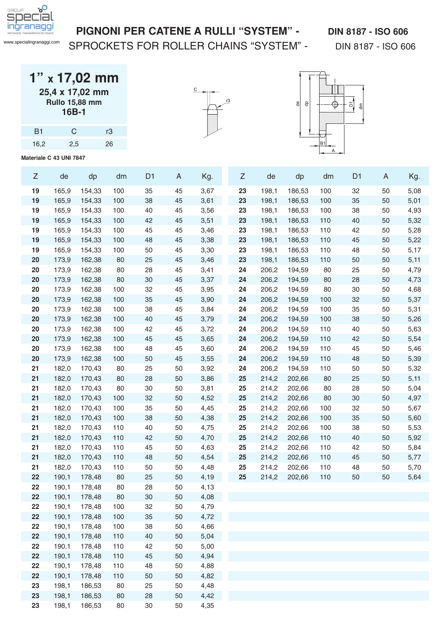

#### PIGNONI PER CATENE A RULLI "SYSTEM" - DIN 8187 - ISO 606

SPROCKETS FOR ROLLER CHAINS "SYSTEM" - DIN 8187 - ISO 606

| $1"$ x 17,02 mm       |
|-----------------------|
| 25,4 x 17,02 mm       |
| <b>Rullo 15,88 mm</b> |
| 16B-1                 |

| B1   | G   | rЗ |
|------|-----|----|
| 16,2 | 2,5 | 26 |





|  | $\ensuremath{\mathsf{Z}}$ | de    | dp     | dm  | D <sub>1</sub> | $\mathsf{A}$ | Kg.  | $\ensuremath{\mathsf{Z}}$ | de    | dp     | dm  | D <sub>1</sub> | A  | Kg.  |
|--|---------------------------|-------|--------|-----|----------------|--------------|------|---------------------------|-------|--------|-----|----------------|----|------|
|  | 19                        | 165,9 | 154,33 | 100 | 35             | 45           | 3,67 | 23                        | 198,1 | 186,53 | 100 | 32             | 50 | 5,08 |
|  | 19                        | 165,9 | 154,33 | 100 | 38             | 45           | 3,61 | 23                        | 198,1 | 186,53 | 100 | 35             | 50 | 5,01 |
|  | 19                        | 165,9 | 154,33 | 100 | 40             | 45           | 3,56 | 23                        | 198,1 | 186,53 | 100 | 38             | 50 | 4,93 |
|  | 19                        | 165,9 | 154,33 | 100 | 42             | 45           | 3,51 | 23                        | 198,1 | 186,53 | 110 | 40             | 50 | 5,32 |
|  | 19                        | 165,9 | 154,33 | 100 | 45             | 45           | 3,46 | 23                        | 198,1 | 186,53 | 110 | 42             | 50 | 5,28 |
|  | 19                        | 165,9 | 154,33 | 100 | 48             | 45           | 3,38 | 23                        | 198,1 | 186,53 | 110 | 45             | 50 | 5,22 |
|  | 19                        | 165,9 | 154,33 | 100 | 50             | 45           | 3,30 | 23                        | 198,1 | 186,53 | 110 | 48             | 50 | 5,17 |
|  | 20                        | 173,9 | 162,38 | 80  | 25             | 45           | 3,46 | 23                        | 198,1 | 186,53 | 110 | 50             | 50 | 5,11 |
|  | 20                        | 173,9 | 162,38 | 80  | 28             | 45           | 3,41 | 24                        | 206,2 | 194,59 | 80  | 25             | 50 | 4,79 |
|  | 20                        | 173,9 | 162,38 | 80  | 30             | 45           | 3,37 | 24                        | 206,2 | 194,59 | 80  | 28             | 50 | 4,73 |
|  | 20                        | 173,9 | 162,38 | 100 | 32             | 45           | 3,95 | 24                        | 206,2 | 194,59 | 80  | 30             | 50 | 4,68 |
|  | 20                        | 173,9 | 162,38 | 100 | 35             | 45           | 3,90 | 24                        | 206,2 | 194,59 | 100 | 32             | 50 | 5,37 |
|  | 20                        | 173,9 | 162,38 | 100 | 38             | 45           | 3,84 | 24                        | 206,2 | 194,59 | 100 | 35             | 50 | 5,31 |
|  | 20                        | 173,9 | 162,38 | 100 | 40             | 45           | 3,79 | 24                        | 206,2 | 194,59 | 100 | 38             | 50 | 5,26 |
|  | 20                        | 173,9 | 162,38 | 100 | 42             | 45           | 3,72 | 24                        | 206,2 | 194,59 | 110 | 40             | 50 | 5,63 |
|  | 20                        | 173,9 | 162,38 | 100 | 45             | 45           | 3,65 | 24                        | 206,2 | 194,59 | 110 | 42             | 50 | 5,54 |
|  | 20                        | 173,9 | 162,38 | 100 | 48             | 45           | 3,60 | 24                        | 206,2 | 194,59 | 110 | 45             | 50 | 5,46 |
|  | 20                        | 173,9 | 162,38 | 100 | 50             | 45           | 3,55 | 24                        | 206,2 | 194,59 | 110 | 48             | 50 | 5,39 |
|  | 21                        | 182,0 | 170,43 | 80  | 25             | 50           | 3,92 | 24                        | 206,2 | 194,59 | 110 | 50             | 50 | 5,32 |
|  | 21                        | 182,0 | 170,43 | 80  | 28             | 50           | 3,86 | 25                        | 214,2 | 202,66 | 80  | 25             | 50 | 5,11 |
|  | 21                        | 182,0 | 170,43 | 80  | 30             | 50           | 3,81 | 25                        | 214,2 | 202,66 | 80  | 28             | 50 | 5,04 |
|  | 21                        | 182,0 | 170,43 | 100 | 32             | 50           | 4,52 | 25                        | 214,2 | 202,66 | 80  | $30\,$         | 50 | 4,97 |
|  | 21                        | 182,0 | 170,43 | 100 | 35             | 50           | 4,45 | 25                        | 214,2 | 202,66 | 100 | 32             | 50 | 5,67 |
|  | 21                        | 182,0 | 170,43 | 100 | 38             | 50           | 4,38 | 25                        | 214,2 | 202,66 | 100 | 35             | 50 | 5,60 |
|  | 21                        | 182,0 | 170,43 | 110 | 40             | 50           | 4,75 | 25                        | 214,2 | 202,66 | 100 | 38             | 50 | 5,53 |
|  | 21                        | 182,0 | 170,43 | 110 | 42             | 50           | 4,70 | 25                        | 214,2 | 202,66 | 110 | 40             | 50 | 5,92 |
|  | 21                        | 182,0 | 170,43 | 110 | 45             | 50           | 4,63 | 25                        | 214,2 | 202,66 | 110 | 42             | 50 | 5,84 |
|  | 21                        | 182,0 | 170,43 | 110 | 48             | 50           | 4,54 | 25                        | 214,2 | 202,66 | 110 | 45             | 50 | 5,77 |
|  | 21                        | 182,0 | 170,43 | 110 | 50             | 50           | 4,48 | 25                        | 214,2 | 202,66 | 110 | 48             | 50 | 5,70 |
|  | 22                        | 190,1 | 178,48 | 80  | 25             | 50           | 4,19 | 25                        | 214,2 | 202,66 | 110 | 50             | 50 | 5,64 |
|  | 22                        | 190,1 | 178,48 | 80  | 28             | 50           | 4,13 |                           |       |        |     |                |    |      |
|  | 22                        | 190,1 | 178,48 | 80  | 30             | 50           | 4,08 |                           |       |        |     |                |    |      |
|  | 22                        | 190,1 | 178,48 | 100 | 32             | 50           | 4,79 |                           |       |        |     |                |    |      |
|  | 22                        | 190,1 | 178,48 | 100 | 35             | 50           | 4,72 |                           |       |        |     |                |    |      |
|  | 22                        | 190,1 | 178,48 | 100 | 38             | 50           | 4,66 |                           |       |        |     |                |    |      |
|  | 22                        | 190,1 | 178,48 | 110 | 40             | 50           | 5,04 |                           |       |        |     |                |    |      |
|  | 22                        | 190,1 | 178,48 | 110 | 42             | 50           | 5,00 |                           |       |        |     |                |    |      |
|  | 22                        | 190,1 | 178,48 | 110 | 45             | 50           | 4,94 |                           |       |        |     |                |    |      |
|  | 22                        | 190,1 | 178,48 | 110 | 48             | 50           | 4,88 |                           |       |        |     |                |    |      |
|  | 22<br>23                  | 190,1 | 178,48 | 110 | 50             | 50           | 4,82 |                           |       |        |     |                |    |      |
|  | 23                        | 198,1 | 186,53 | 80  | 25             | 50           | 4,48 |                           |       |        |     |                |    |      |
|  |                           | 198,1 | 186,53 | 80  | 28             | 50           | 4,42 |                           |       |        |     |                |    |      |
|  | 23                        | 198,1 | 186,53 | 80  | $30\,$         | 50           | 4,35 |                           |       |        |     |                |    |      |